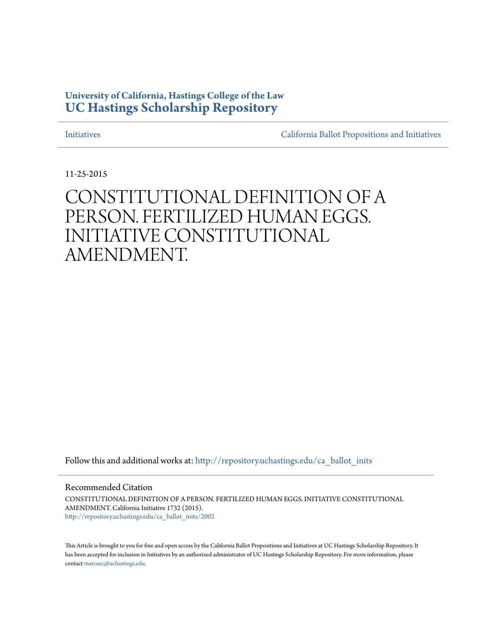# **University of California, Hastings College of the Law [UC Hastings Scholarship Repository](http://repository.uchastings.edu?utm_source=repository.uchastings.edu%2Fca_ballot_inits%2F2002&utm_medium=PDF&utm_campaign=PDFCoverPages)**

[Initiatives](http://repository.uchastings.edu/ca_ballot_inits?utm_source=repository.uchastings.edu%2Fca_ballot_inits%2F2002&utm_medium=PDF&utm_campaign=PDFCoverPages) [California Ballot Propositions and Initiatives](http://repository.uchastings.edu/ca_ballots?utm_source=repository.uchastings.edu%2Fca_ballot_inits%2F2002&utm_medium=PDF&utm_campaign=PDFCoverPages)

11-25-2015

# CONSTITUTIONAL DEFINITION OF A PERSON. FERTILIZED HUMAN EGGS. INITIATIVE CONSTITUTIONAL AMENDMENT.

Follow this and additional works at: [http://repository.uchastings.edu/ca\\_ballot\\_inits](http://repository.uchastings.edu/ca_ballot_inits?utm_source=repository.uchastings.edu%2Fca_ballot_inits%2F2002&utm_medium=PDF&utm_campaign=PDFCoverPages)

Recommended Citation

CONSTITUTIONAL DEFINITION OF A PERSON. FERTILIZED HUMAN EGGS. INITIATIVE CONSTITUTIONAL AMENDMENT. California Initiative 1732 (2015). [http://repository.uchastings.edu/ca\\_ballot\\_inits/2002](http://repository.uchastings.edu/ca_ballot_inits/2002?utm_source=repository.uchastings.edu%2Fca_ballot_inits%2F2002&utm_medium=PDF&utm_campaign=PDFCoverPages)

This Article is brought to you for free and open access by the California Ballot Propositions and Initiatives at UC Hastings Scholarship Repository. It has been accepted for inclusion in Initiatives by an authorized administrator of UC Hastings Scholarship Repository. For more information, please contact [marcusc@uchastings.edu](mailto:marcusc@uchastings.edu).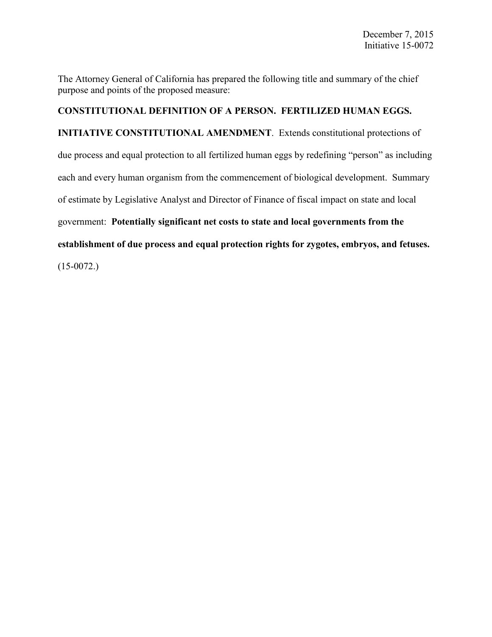The Attorney General of California has prepared the following title and summary of the chief purpose and points of the proposed measure:

## **CONSTITUTIONAL DEFINITION OF A PERSON. FERTILIZED HUMAN EGGS.**

**INITIATIVE CONSTITUTIONAL AMENDMENT**. Extends constitutional protections of due process and equal protection to all fertilized human eggs by redefining "person" as including each and every human organism from the commencement of biological development. Summary of estimate by Legislative Analyst and Director of Finance of fiscal impact on state and local government: **Potentially significant net costs to state and local governments from the establishment of due process and equal protection rights for zygotes, embryos, and fetuses.**

 $(15-0072)$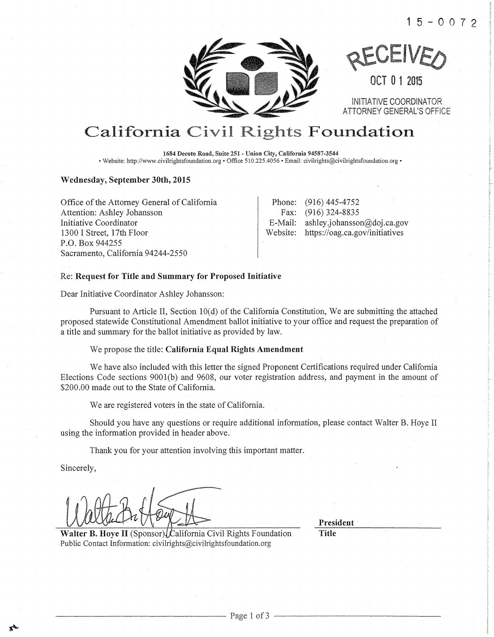



OCT 0 1 2015

INITIATIVE COORDINATOR ATTORNEY GENERAL'S OFFICE

# California Civil Rights Foundation

1684 Decoto Road, Suite 251- Union City, Califomia 94587-3544 • Website: http://www.civilrightsfoundation.org • Office 510.225.4056 • Email: civilrights@civilrightsfoundation.org •

#### Wednesday, September 30th, 2015

Office of the Attorney General of California Attention: Ashley Johansson Initiative Coordinator 1300 I Street, 17th Floor P.O. Box 944255 Sacramento, California 94244-2550

Phone: (916) 445-4752 Fax: (916) 324-8835 E-Mail: ashley.johansson@doj.ca.gov Website: https://oag.ca.gov/initiatives

#### Re: Request for Title and Summary for Proposed Initiative

Dear Initiative Coordinator Ashley Johansson:

Pursuant to Article II, Section IO(d) of the California Constitution, We are submitting the attached proposed statewide Constitutional Amendment ballot initiative to your oftice and request the preparation of a title and summary for the ballot initiative as provided by law.

We propose the title: California Equal Rights Amendment

We have also included with this letter the signed Proponent Certifications required under California Elections Code sections 9001(b) and 9608, our voter registration address, and payment in the amount of \$200.00 made out to the State of California.

We are registered voters in the state of California.

Should you have any questions or require additional information, please contact Walter B. Hoye II using the information provided in header above.

Thank you for your attention involving this important matter.

Sincerely,

Walter B. Hove II (Sponsor). California Civil Rights Foundation Public Contact Information: civilrights@civilrightsfoundation.org

President

Title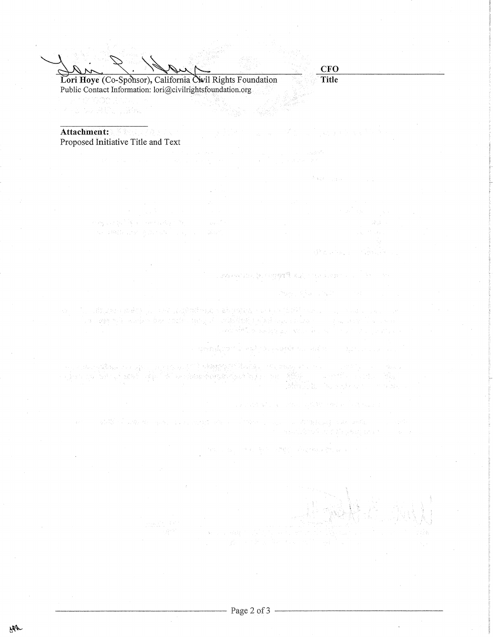$\overrightarrow{Lori}$  Hoye (Co-Sponsor), California Civil Rights Foundation **Title** Public Contact Information: lori@civilrightsfoundation.org

**CFO** 

 $\mathcal{N}(\mathbb{R}^d_{\mathbb{C}}) = \lim_{\varepsilon \to 0} \mathcal{N}(\varepsilon) = \lim_{\varepsilon \to 0} \mathcal{N}(\varepsilon)$ 

使出现的现在

April 23 and William Harrison

TAA 2012년 2월 2일 2월 20일 시대 10월 2일 2월 1일 1일 1일 1일

and the sales and a second of the sales of the sales

一些的 整个 2000 分配 机双元件 (and

may be a public of the computation of the

Attachment: Proposed Initiative Title and Text